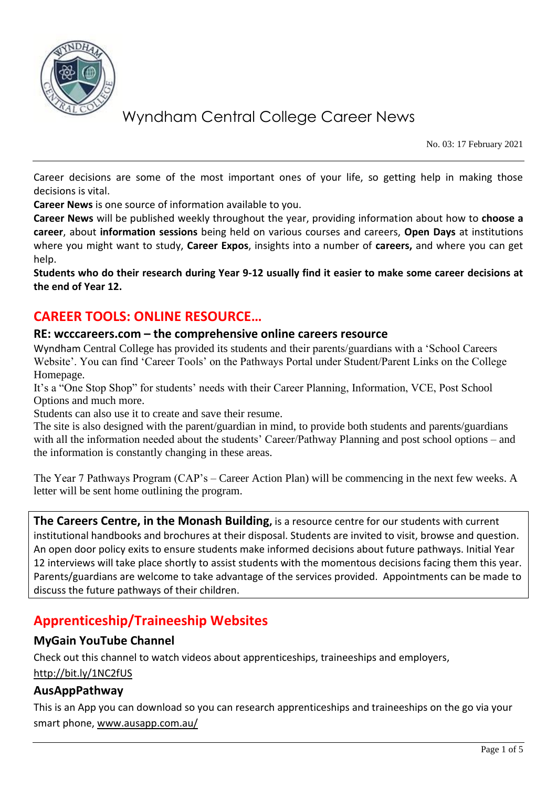

No. 03: 17 February 2021

Career decisions are some of the most important ones of your life, so getting help in making those decisions is vital.

**Career News** is one source of information available to you.

**Career News** will be published weekly throughout the year, providing information about how to **choose a career**, about **information sessions** being held on various courses and careers, **Open Days** at institutions where you might want to study, **Career Expos**, insights into a number of **careers,** and where you can get help.

**Students who do their research during Year 9-12 usually find it easier to make some career decisions at the end of Year 12.**

## **CAREER TOOLS: ONLINE RESOURCE…**

#### **RE: wcccareers.com – the comprehensive online careers resource**

Wyndham Central College has provided its students and their parents/guardians with a 'School Careers Website'. You can find 'Career Tools' on the Pathways Portal under Student/Parent Links on the College Homepage.

It's a "One Stop Shop" for students' needs with their Career Planning, Information, VCE, Post School Options and much more.

Students can also use it to create and save their resume.

The site is also designed with the parent/guardian in mind, to provide both students and parents/guardians with all the information needed about the students' Career/Pathway Planning and post school options – and the information is constantly changing in these areas.

The Year 7 Pathways Program (CAP's – Career Action Plan) will be commencing in the next few weeks. A letter will be sent home outlining the program.

**The Careers Centre, in the Monash Building,** is a resource centre for our students with current institutional handbooks and brochures at their disposal. Students are invited to visit, browse and question. An open door policy exits to ensure students make informed decisions about future pathways. Initial Year 12 interviews will take place shortly to assist students with the momentous decisions facing them this year. Parents/guardians are welcome to take advantage of the services provided. Appointments can be made to discuss the future pathways of their children.

## **Apprenticeship/Traineeship Websites**

#### **MyGain YouTube Channel**

Check out this channel to watch videos about apprenticeships, traineeships and employers,

<http://bit.ly/1NC2fUS>

#### **AusAppPathway**

This is an App you can download so you can research apprenticeships and traineeships on the go via your smart phone, [www.ausapp.com.au/](http://www.ausapp.com.au/)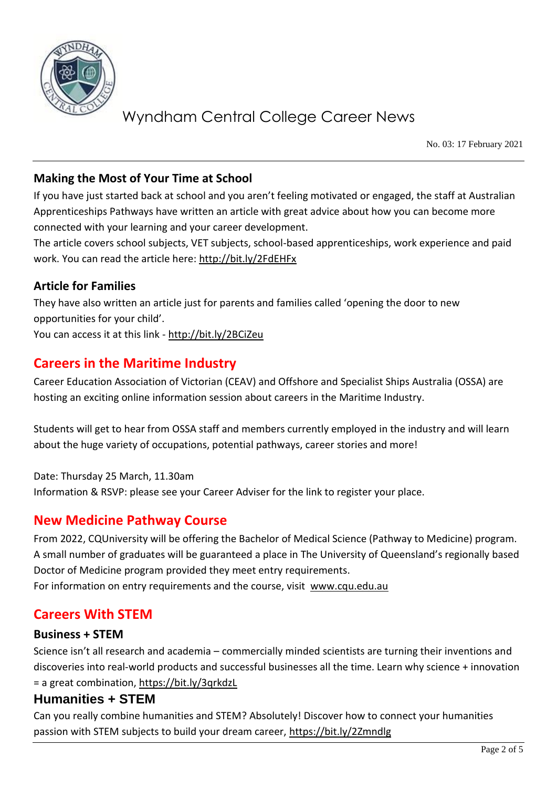

No. 03: 17 February 2021

### **Making the Most of Your Time at School**

If you have just started back at school and you aren't feeling motivated or engaged, the staff at Australian Apprenticeships Pathways have written an article with great advice about how you can become more connected with your learning and your career development.

The article covers school subjects, VET subjects, school-based apprenticeships, work experience and paid work. You can read the article here:<http://bit.ly/2FdEHFx>

#### **Article for Families**

They have also written an article just for parents and families called 'opening the door to new opportunities for your child'.

You can access it at this link - <http://bit.ly/2BCiZeu>

## **Careers in the Maritime Industry**

Career Education Association of Victorian (CEAV) and Offshore and Specialist Ships Australia (OSSA) are hosting an exciting online information session about careers in the Maritime Industry.

Students will get to hear from OSSA staff and members currently employed in the industry and will learn about the huge variety of occupations, potential pathways, career stories and more!

Date: Thursday 25 March, 11.30am Information & RSVP: please see your Career Adviser for the link to register your place.

## **New Medicine Pathway Course**

From 2022, CQUniversity will be offering the Bachelor of Medical Science (Pathway to Medicine) program. A small number of graduates will be guaranteed a place in The University of Queensland's regionally based Doctor of Medicine program provided they meet entry requirements.

For information on entry requirements and the course, visit [www.cqu.edu.au](http://www.cqu.edu.au/)

## **Careers With STEM**

#### **Business + STEM**

Science isn't all research and academia – commercially minded scientists are turning their inventions and discoveries into real-world products and successful businesses all the time. Learn why science + innovation = a great combination,<https://bit.ly/3qrkdzL>

#### **Humanities + STEM**

Can you really combine humanities and STEM? Absolutely! Discover how to connect your humanities passion with STEM subjects to build your dream career,<https://bit.ly/2Zmndlg>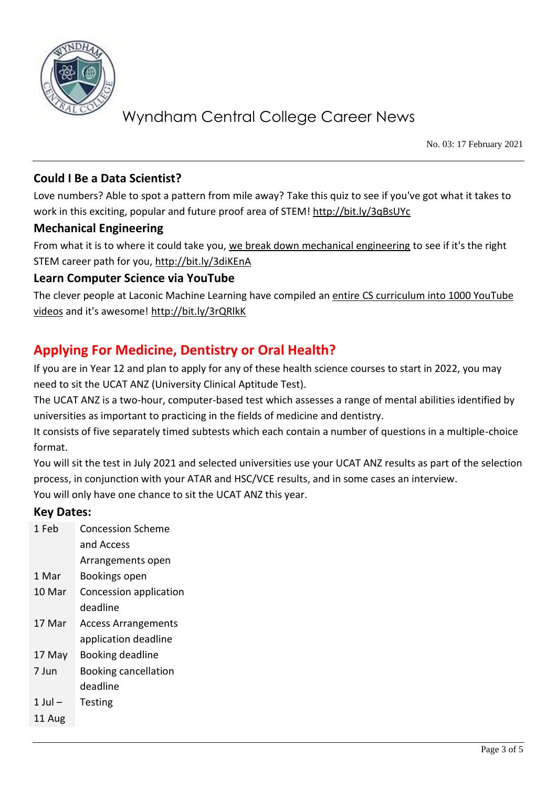

No. 03: 17 February 2021

### **Could I Be a Data Scientist?**

Love numbers? Able to spot a pattern from mile away? Take this quiz to see if you've got what it takes to work in this exciting, popular and future proof area of STEM!<http://bit.ly/3qBsUYc>

#### **Mechanical Engineering**

From what it is to where it could take you, [we break down mechanical engineering](https://protect-au.mimecast.com/s/ybyuCANpkqhGQL9sLvE8H?domain=refractionmedia.us7.list-manage.com) to see if it's the right STEM career path for you,<http://bit.ly/3diKEnA>

#### **Learn Computer Science via YouTube**

The clever people at Laconic Machine Learning have compiled an entire [CS curriculum into 1000 YouTube](https://protect-au.mimecast.com/s/pXTkCwV149FgjJLTDJSAT?domain=refractionmedia.us7.list-manage.com)  [videos](https://protect-au.mimecast.com/s/pXTkCwV149FgjJLTDJSAT?domain=refractionmedia.us7.list-manage.com) and it's awesome!<http://bit.ly/3rQRlkK>

# **Applying For Medicine, Dentistry or Oral Health?**

If you are in Year 12 and plan to apply for any of these health science courses to start in 2022, you may need to sit the UCAT ANZ (University Clinical Aptitude Test).

The UCAT ANZ is a two-hour, computer-based test which assesses a range of mental abilities identified by universities as important to practicing in the fields of medicine and dentistry.

It consists of five separately timed subtests which each contain a number of questions in a multiple-choice format.

You will sit the test in July 2021 and selected universities use your UCAT ANZ results as part of the selection process, in conjunction with your ATAR and HSC/VCE results, and in some cases an interview. You will only have one chance to sit the UCAT ANZ this year.

#### **Key Dates:**

| 1 Feb   | <b>Concession Scheme</b>    |
|---------|-----------------------------|
|         | and Access                  |
|         | Arrangements open           |
| 1 Mar   | Bookings open               |
| 10 Mar  | Concession application      |
|         | deadline                    |
| 17 Mar  | <b>Access Arrangements</b>  |
|         | application deadline        |
| 17 May  | <b>Booking deadline</b>     |
| 7 Jun   | <b>Booking cancellation</b> |
|         | deadline                    |
| 1 Jul – | Testing                     |
| 11 Aug  |                             |
|         |                             |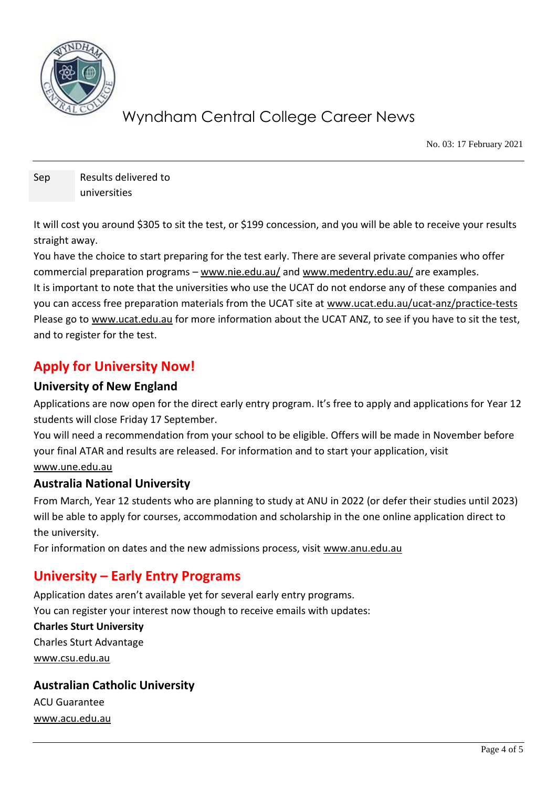

No. 03: 17 February 2021

Sep Results delivered to universities

It will cost you around \$305 to sit the test, or \$199 concession, and you will be able to receive your results straight away.

You have the choice to start preparing for the test early. There are several private companies who offer commercial preparation programs – [www.nie.edu.au/](http://www.nie.edu.au/) and [www.medentry.edu.au/](http://www.medentry.edu.au/) are examples.

It is important to note that the universities who use the UCAT do not endorse any of these companies and you can access free preparation materials from the UCAT site at [www.ucat.edu.au/ucat-anz/practice-tests](http://www.ucat.edu.au/ucat-anz/practice-tests) Please go to [www.ucat.edu.au](http://www.ucat.edu.au/) for more information about the UCAT ANZ, to see if you have to sit the test, and to register for the test.

# **Apply for University Now!**

#### **University of New England**

Applications are now open for the direct early entry program. It's free to apply and applications for Year 12 students will close Friday 17 September.

You will need a recommendation from your school to be eligible. Offers will be made in November before your final ATAR and results are released. For information and to start your application, visit [www.une.edu.au](http://www.une.edu.au/)

#### **Australia National University**

From March, Year 12 students who are planning to study at ANU in 2022 (or defer their studies until 2023) will be able to apply for courses, accommodation and scholarship in the one online application direct to the university.

For information on dates and the new admissions process, visit [www.anu.edu.au](http://www.anu.edu.au/) 

## **University – Early Entry Programs**

Application dates aren't available yet for several early entry programs. You can register your interest now though to receive emails with updates:

**Charles Sturt University** Charles Sturt Advantage [www.csu.edu.au](http://www.csu.edu.au/)

## **Australian Catholic University** ACU Guarantee

[www.acu.edu.au](http://www.acu.edu.au/)